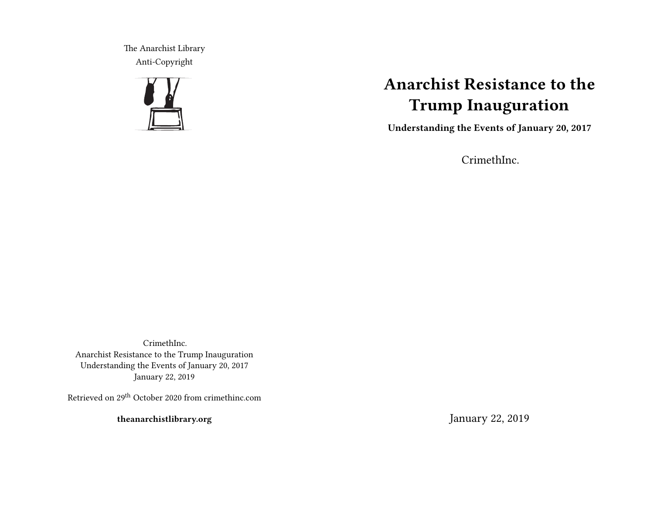The Anarchist Library Anti-Copyright



# **Anarchist Resistance to the Trump Inauguration**

**Understanding the Events of January 20, 2017**

CrimethInc.

CrimethInc. Anarchist Resistance to the Trump Inauguration Understanding the Events of January 20, 2017 January 22, 2019

Retrieved on 29th October 2020 from crimethinc.com

**theanarchistlibrary.org**

January 22, 2019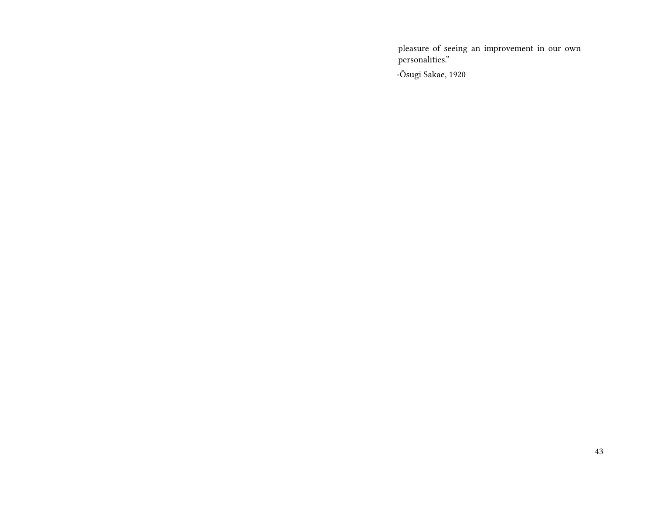pleasure of seeing an improvement in our own personalities."

-Ōsugi Sakae, 1920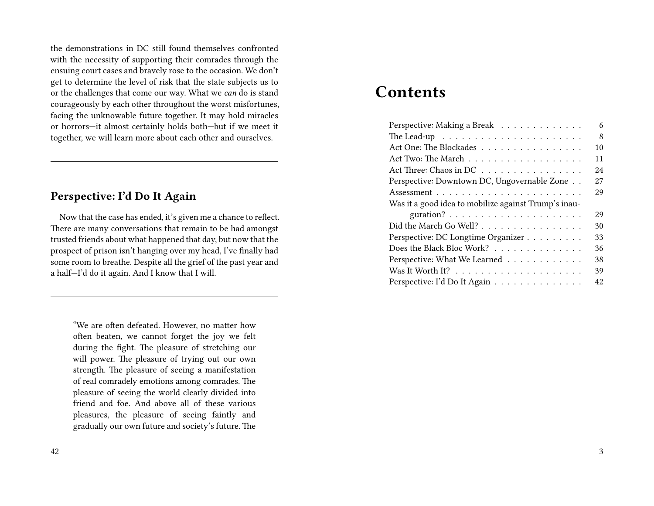the demonstrations in DC still found themselves confronted with the necessity of supporting their comrades through the ensuing court cases and bravely rose to the occasion. We don't get to determine the level of risk that the state subjects us to or the challenges that come our way. What we *can* do is stand courageously by each other throughout the worst misfortunes, facing the unknowable future together. It may hold miracles or horrors—it almost certainly holds both—but if we meet it together, we will learn more about each other and ourselves.

#### **Perspective: I'd Do It Again**

Now that the case has ended, it's given me a chance to reflect. There are many conversations that remain to be had amongst trusted friends about what happened that day, but now that the prospect of prison isn't hanging over my head, I've finally had some room to breathe. Despite all the grief of the past year and a half—I'd do it again. And I know that I will.

"We are often defeated. However, no matter how often beaten, we cannot forget the joy we felt during the fight. The pleasure of stretching our will power. The pleasure of trying out our own strength. The pleasure of seeing a manifestation of real comradely emotions among comrades. The pleasure of seeing the world clearly divided into friend and foe. And above all of these various pleasures, the pleasure of seeing faintly and gradually our own future and society's future. The

## **Contents**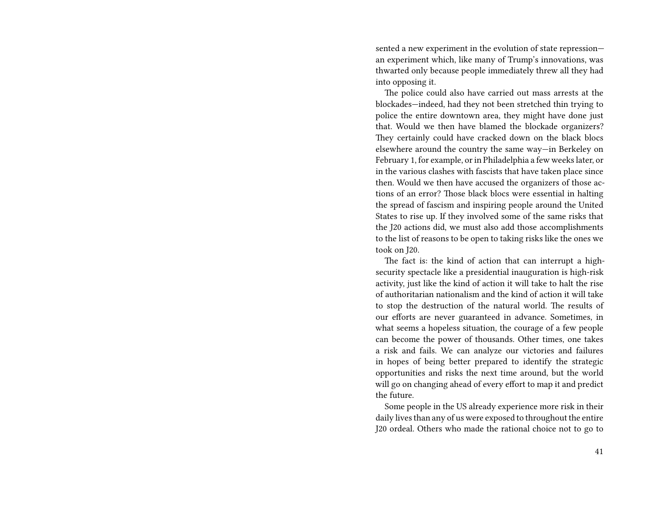sented a new experiment in the evolution of state repression an experiment which, like many of Trump's innovations, was thwarted only because people immediately threw all they had into opposing it.

The police could also have carried out mass arrests at the blockades—indeed, had they not been stretched thin trying to police the entire downtown area, they might have done just that. Would we then have blamed the blockade organizers? They certainly could have cracked down on the black blocs elsewhere around the country the same way—in Berkeley on February 1, for example, or in Philadelphia a few weeks later, or in the various clashes with fascists that have taken place since then. Would we then have accused the organizers of those actions of an error? Those black blocs were essential in halting the spread of fascism and inspiring people around the United States to rise up. If they involved some of the same risks that the J20 actions did, we must also add those accomplishments to the list of reasons to be open to taking risks like the ones we took on J20.

The fact is: the kind of action that can interrupt a highsecurity spectacle like a presidential inauguration is high-risk activity, just like the kind of action it will take to halt the rise of authoritarian nationalism and the kind of action it will take to stop the destruction of the natural world. The results of our efforts are never guaranteed in advance. Sometimes, in what seems a hopeless situation, the courage of a few people can become the power of thousands. Other times, one takes a risk and fails. We can analyze our victories and failures in hopes of being better prepared to identify the strategic opportunities and risks the next time around, but the world will go on changing ahead of every effort to map it and predict the future.

Some people in the US already experience more risk in their daily lives than any of us were exposed to throughout the entire J20 ordeal. Others who made the rational choice not to go to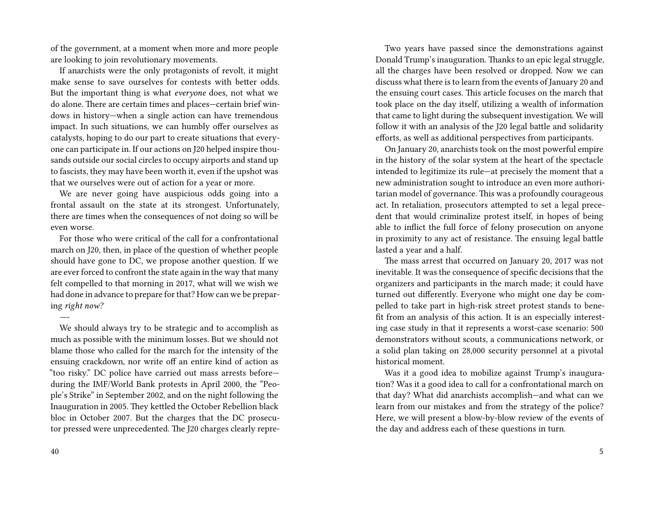of the government, at a moment when more and more people are looking to join revolutionary movements.

If anarchists were the only protagonists of revolt, it might make sense to save ourselves for contests with better odds. But the important thing is what *everyone* does, not what we do alone. There are certain times and places—certain brief windows in history—when a single action can have tremendous impact. In such situations, we can humbly offer ourselves as catalysts, hoping to do our part to create situations that everyone can participate in. If our actions on J20 helped inspire thousands outside our social circles to occupy airports and stand up to fascists, they may have been worth it, even if the upshot was that we ourselves were out of action for a year or more.

We are never going have auspicious odds going into a frontal assault on the state at its strongest. Unfortunately, there are times when the consequences of not doing so will be even worse.

For those who were critical of the call for a confrontational march on J20, then, in place of the question of whether people should have gone to DC, we propose another question. If we are ever forced to confront the state again in the way that many felt compelled to that morning in 2017, what will we wish we had done in advance to prepare for that? How can we be preparing *right now?*

We should always try to be strategic and to accomplish as much as possible with the minimum losses. But we should not blame those who called for the march for the intensity of the ensuing crackdown, nor write off an entire kind of action as "too risky." DC police have carried out mass arrests before during the IMF/World Bank protests in April 2000, the "People's Strike" in September 2002, and on the night following the Inauguration in 2005. They kettled the October Rebellion black bloc in October 2007. But the charges that the DC prosecutor pressed were unprecedented. The J20 charges clearly repre-

*—-*

Two years have passed since the demonstrations against Donald Trump's inauguration. Thanks to an epic legal struggle, all the charges have been resolved or dropped. Now we can discuss what there is to learn from the events of January 20 and the ensuing court cases. This article focuses on the march that took place on the day itself, utilizing a wealth of information that came to light during the subsequent investigation. We will follow it with an analysis of the J20 legal battle and solidarity efforts, as well as additional perspectives from participants.

On January 20, anarchists took on the most powerful empire in the history of the solar system at the heart of the spectacle intended to legitimize its rule—at precisely the moment that a new administration sought to introduce an even more authoritarian model of governance. This was a profoundly courageous act. In retaliation, prosecutors attempted to set a legal precedent that would criminalize protest itself, in hopes of being able to inflict the full force of felony prosecution on anyone in proximity to any act of resistance. The ensuing legal battle lasted a year and a half.

The mass arrest that occurred on January 20, 2017 was not inevitable. It was the consequence of specific decisions that the organizers and participants in the march made; it could have turned out differently. Everyone who might one day be compelled to take part in high-risk street protest stands to benefit from an analysis of this action. It is an especially interesting case study in that it represents a worst-case scenario: 500 demonstrators without scouts, a communications network, or a solid plan taking on 28,000 security personnel at a pivotal historical moment.

Was it a good idea to mobilize against Trump's inauguration? Was it a good idea to call for a confrontational march on that day? What did anarchists accomplish—and what can we learn from our mistakes and from the strategy of the police? Here, we will present a blow-by-blow review of the events of the day and address each of these questions in turn.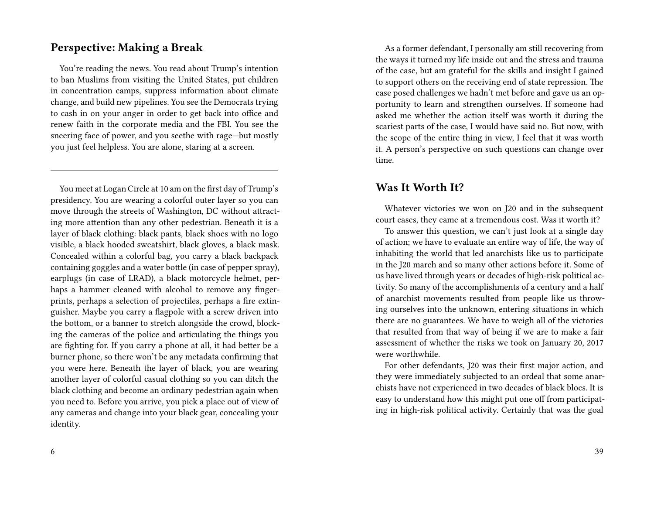#### **Perspective: Making a Break**

You're reading the news. You read about Trump's intention to ban Muslims from visiting the United States, put children in concentration camps, suppress information about climate change, and build new pipelines. You see the Democrats trying to cash in on your anger in order to get back into office and renew faith in the corporate media and the FBI. You see the sneering face of power, and you seethe with rage—but mostly you just feel helpless. You are alone, staring at a screen.

You meet at Logan Circle at 10 am on the first day of Trump's presidency. You are wearing a colorful outer layer so you can move through the streets of Washington, DC without attracting more attention than any other pedestrian. Beneath it is a layer of black clothing: black pants, black shoes with no logo visible, a black hooded sweatshirt, black gloves, a black mask. Concealed within a colorful bag, you carry a black backpack containing goggles and a water bottle (in case of pepper spray), earplugs (in case of LRAD), a black motorcycle helmet, perhaps a hammer cleaned with alcohol to remove any fingerprints, perhaps a selection of projectiles, perhaps a fire extinguisher. Maybe you carry a flagpole with a screw driven into the bottom, or a banner to stretch alongside the crowd, blocking the cameras of the police and articulating the things you are fighting for. If you carry a phone at all, it had better be a burner phone, so there won't be any metadata confirming that you were here. Beneath the layer of black, you are wearing another layer of colorful casual clothing so you can ditch the black clothing and become an ordinary pedestrian again when you need to. Before you arrive, you pick a place out of view of any cameras and change into your black gear, concealing your identity.

As a former defendant, I personally am still recovering from the ways it turned my life inside out and the stress and trauma of the case, but am grateful for the skills and insight I gained to support others on the receiving end of state repression. The case posed challenges we hadn't met before and gave us an opportunity to learn and strengthen ourselves. If someone had asked me whether the action itself was worth it during the scariest parts of the case, I would have said no. But now, with the scope of the entire thing in view, I feel that it was worth it. A person's perspective on such questions can change over time.

#### **Was It Worth It?**

Whatever victories we won on J20 and in the subsequent court cases, they came at a tremendous cost. Was it worth it?

To answer this question, we can't just look at a single day of action; we have to evaluate an entire way of life, the way of inhabiting the world that led anarchists like us to participate in the J20 march and so many other actions before it. Some of us have lived through years or decades of high-risk political activity. So many of the accomplishments of a century and a half of anarchist movements resulted from people like us throwing ourselves into the unknown, entering situations in which there are no guarantees. We have to weigh all of the victories that resulted from that way of being if we are to make a fair assessment of whether the risks we took on January 20, 2017 were worthwhile.

For other defendants, J20 was their first major action, and they were immediately subjected to an ordeal that some anarchists have not experienced in two decades of black blocs. It is easy to understand how this might put one off from participating in high-risk political activity. Certainly that was the goal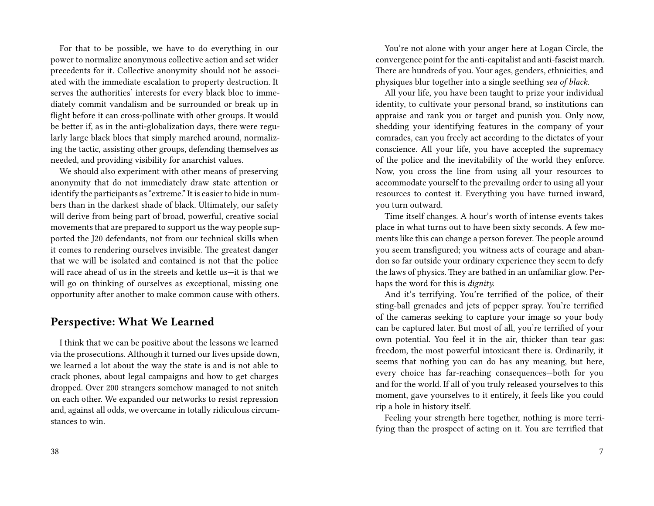For that to be possible, we have to do everything in our power to normalize anonymous collective action and set wider precedents for it. Collective anonymity should not be associated with the immediate escalation to property destruction. It serves the authorities' interests for every black bloc to immediately commit vandalism and be surrounded or break up in flight before it can cross-pollinate with other groups. It would be better if, as in the anti-globalization days, there were regularly large black blocs that simply marched around, normalizing the tactic, assisting other groups, defending themselves as needed, and providing visibility for anarchist values.

We should also experiment with other means of preserving anonymity that do not immediately draw state attention or identify the participants as "extreme." It is easier to hide in numbers than in the darkest shade of black. Ultimately, our safety will derive from being part of broad, powerful, creative social movements that are prepared to support us the way people supported the J20 defendants, not from our technical skills when it comes to rendering ourselves invisible. The greatest danger that we will be isolated and contained is not that the police will race ahead of us in the streets and kettle us—it is that we will go on thinking of ourselves as exceptional, missing one opportunity after another to make common cause with others.

#### **Perspective: What We Learned**

I think that we can be positive about the lessons we learned via the prosecutions. Although it turned our lives upside down, we learned a lot about the way the state is and is not able to crack phones, about legal campaigns and how to get charges dropped. Over 200 strangers somehow managed to not snitch on each other. We expanded our networks to resist repression and, against all odds, we overcame in totally ridiculous circumstances to win.

You're not alone with your anger here at Logan Circle, the convergence point for the anti-capitalist and anti-fascist march. There are hundreds of you. Your ages, genders, ethnicities, and physiques blur together into a single seething *sea of black.*

All your life, you have been taught to prize your individual identity, to cultivate your personal brand, so institutions can appraise and rank you or target and punish you. Only now, shedding your identifying features in the company of your comrades, can you freely act according to the dictates of your conscience. All your life, you have accepted the supremacy of the police and the inevitability of the world they enforce. Now, you cross the line from using all your resources to accommodate yourself to the prevailing order to using all your resources to contest it. Everything you have turned inward, you turn outward.

Time itself changes. A hour's worth of intense events takes place in what turns out to have been sixty seconds. A few moments like this can change a person forever. The people around you seem transfigured; you witness acts of courage and abandon so far outside your ordinary experience they seem to defy the laws of physics. They are bathed in an unfamiliar glow. Perhaps the word for this is *dignity.*

And it's terrifying. You're terrified of the police, of their sting-ball grenades and jets of pepper spray. You're terrified of the cameras seeking to capture your image so your body can be captured later. But most of all, you're terrified of your own potential. You feel it in the air, thicker than tear gas: freedom, the most powerful intoxicant there is. Ordinarily, it seems that nothing you can do has any meaning, but here, every choice has far-reaching consequences—both for you and for the world. If all of you truly released yourselves to this moment, gave yourselves to it entirely, it feels like you could rip a hole in history itself.

Feeling your strength here together, nothing is more terrifying than the prospect of acting on it. You are terrified that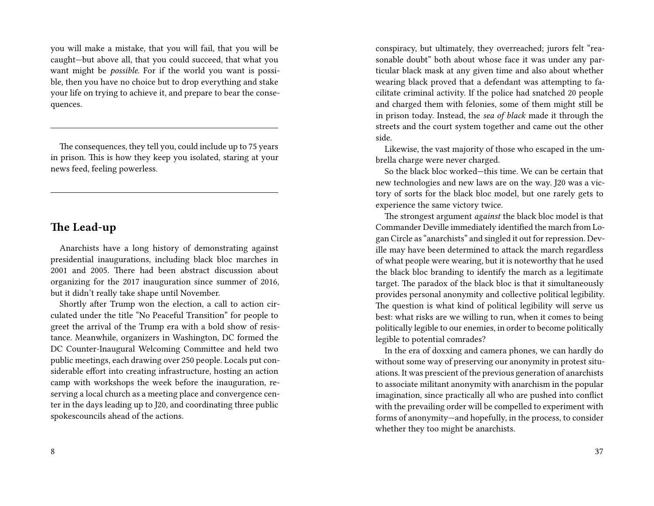you will make a mistake, that you will fail, that you will be caught—but above all, that you could succeed, that what you want might be *possible.* For if the world you want is possible, then you have no choice but to drop everything and stake your life on trying to achieve it, and prepare to bear the consequences.

The consequences, they tell you, could include up to 75 years in prison. This is how they keep you isolated, staring at your news feed, feeling powerless.

#### **The Lead-up**

Anarchists have a long history of demonstrating against presidential inaugurations, including black bloc marches in 2001 and 2005. There had been abstract discussion about organizing for the 2017 inauguration since summer of 2016, but it didn't really take shape until November.

Shortly after Trump won the election, a call to action circulated under the title "No Peaceful Transition" for people to greet the arrival of the Trump era with a bold show of resistance. Meanwhile, organizers in Washington, DC formed the DC Counter-Inaugural Welcoming Committee and held two public meetings, each drawing over 250 people. Locals put considerable effort into creating infrastructure, hosting an action camp with workshops the week before the inauguration, reserving a local church as a meeting place and convergence center in the days leading up to J20, and coordinating three public spokescouncils ahead of the actions.

conspiracy, but ultimately, they overreached; jurors felt "reasonable doubt" both about whose face it was under any particular black mask at any given time and also about whether wearing black proved that a defendant was attempting to facilitate criminal activity. If the police had snatched 20 people and charged them with felonies, some of them might still be in prison today. Instead, the *sea of black* made it through the streets and the court system together and came out the other side.

Likewise, the vast majority of those who escaped in the umbrella charge were never charged.

So the black bloc worked—this time. We can be certain that new technologies and new laws are on the way. J20 was a victory of sorts for the black bloc model, but one rarely gets to experience the same victory twice.

The strongest argument *against* the black bloc model is that Commander Deville immediately identified the march from Logan Circle as "anarchists" and singled it out for repression. Deville may have been determined to attack the march regardless of what people were wearing, but it is noteworthy that he used the black bloc branding to identify the march as a legitimate target. The paradox of the black bloc is that it simultaneously provides personal anonymity and collective political legibility. The question is what kind of political legibility will serve us best: what risks are we willing to run, when it comes to being politically legible to our enemies, in order to become politically legible to potential comrades?

In the era of doxxing and camera phones, we can hardly do without some way of preserving our anonymity in protest situations. It was prescient of the previous generation of anarchists to associate militant anonymity with anarchism in the popular imagination, since practically all who are pushed into conflict with the prevailing order will be compelled to experiment with forms of anonymity—and hopefully, in the process, to consider whether they too might be anarchists.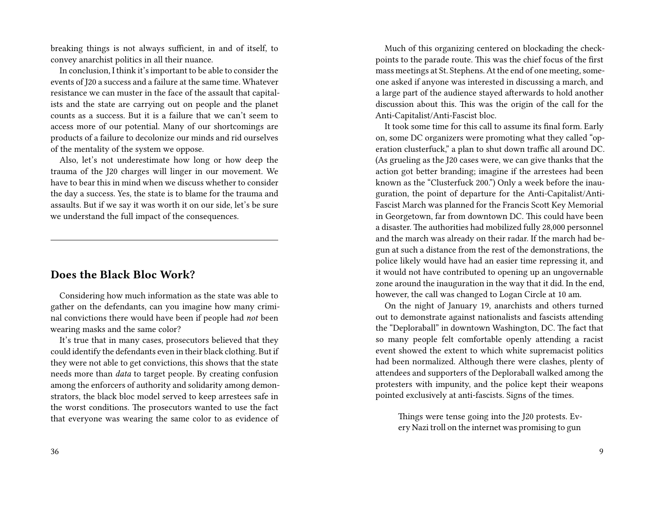breaking things is not always sufficient, in and of itself, to convey anarchist politics in all their nuance.

In conclusion, I think it's important to be able to consider the events of J20 a success and a failure at the same time. Whatever resistance we can muster in the face of the assault that capitalists and the state are carrying out on people and the planet counts as a success. But it is a failure that we can't seem to access more of our potential. Many of our shortcomings are products of a failure to decolonize our minds and rid ourselves of the mentality of the system we oppose.

Also, let's not underestimate how long or how deep the trauma of the J20 charges will linger in our movement. We have to bear this in mind when we discuss whether to consider the day a success. Yes, the state is to blame for the trauma and assaults. But if we say it was worth it on our side, let's be sure we understand the full impact of the consequences.

#### **Does the Black Bloc Work?**

Considering how much information as the state was able to gather on the defendants, can you imagine how many criminal convictions there would have been if people had *not* been wearing masks and the same color?

It's true that in many cases, prosecutors believed that they could identify the defendants even in their black clothing. But if they were not able to get convictions, this shows that the state needs more than *data* to target people. By creating confusion among the enforcers of authority and solidarity among demonstrators, the black bloc model served to keep arrestees safe in the worst conditions. The prosecutors wanted to use the fact that everyone was wearing the same color to as evidence of

Much of this organizing centered on blockading the checkpoints to the parade route. This was the chief focus of the first mass meetings at St. Stephens. At the end of one meeting, someone asked if anyone was interested in discussing a march, and a large part of the audience stayed afterwards to hold another discussion about this. This was the origin of the call for the Anti-Capitalist/Anti-Fascist bloc.

It took some time for this call to assume its final form. Early on, some DC organizers were promoting what they called "operation clusterfuck," a plan to shut down traffic all around DC. (As grueling as the J20 cases were, we can give thanks that the action got better branding; imagine if the arrestees had been known as the "Clusterfuck 200.") Only a week before the inauguration, the point of departure for the Anti-Capitalist/Anti-Fascist March was planned for the Francis Scott Key Memorial in Georgetown, far from downtown DC. This could have been a disaster. The authorities had mobilized fully 28,000 personnel and the march was already on their radar. If the march had begun at such a distance from the rest of the demonstrations, the police likely would have had an easier time repressing it, and it would not have contributed to opening up an ungovernable zone around the inauguration in the way that it did. In the end, however, the call was changed to Logan Circle at 10 am.

On the night of January 19, anarchists and others turned out to demonstrate against nationalists and fascists attending the "Deploraball" in downtown Washington, DC. The fact that so many people felt comfortable openly attending a racist event showed the extent to which white supremacist politics had been normalized. Although there were clashes, plenty of attendees and supporters of the Deploraball walked among the protesters with impunity, and the police kept their weapons pointed exclusively at anti-fascists. Signs of the times.

Things were tense going into the J20 protests. Every Nazi troll on the internet was promising to gun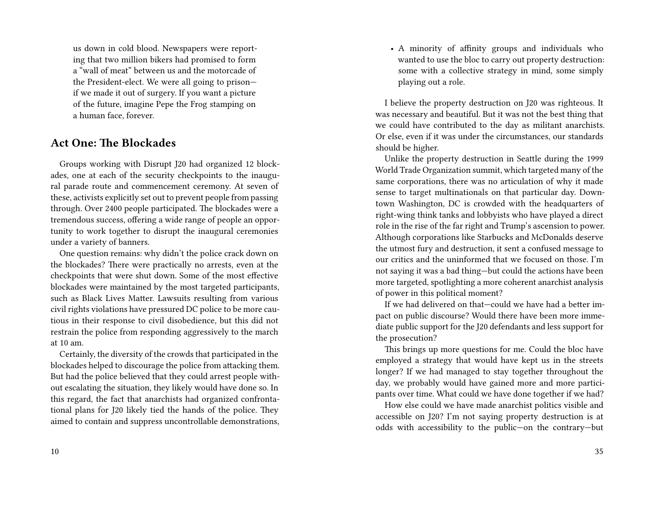us down in cold blood. Newspapers were reporting that two million bikers had promised to form a "wall of meat" between us and the motorcade of the President-elect. We were all going to prison if we made it out of surgery. If you want a picture of the future, imagine Pepe the Frog stamping on a human face, forever.

#### **Act One: The Blockades**

Groups working with Disrupt J20 had organized 12 blockades, one at each of the security checkpoints to the inaugural parade route and commencement ceremony. At seven of these, activists explicitly set out to prevent people from passing through. Over 2400 people participated. The blockades were a tremendous success, offering a wide range of people an opportunity to work together to disrupt the inaugural ceremonies under a variety of banners.

One question remains: why didn't the police crack down on the blockades? There were practically no arrests, even at the checkpoints that were shut down. Some of the most effective blockades were maintained by the most targeted participants, such as Black Lives Matter. Lawsuits resulting from various civil rights violations have pressured DC police to be more cautious in their response to civil disobedience, but this did not restrain the police from responding aggressively to the march at 10 am.

Certainly, the diversity of the crowds that participated in the blockades helped to discourage the police from attacking them. But had the police believed that they could arrest people without escalating the situation, they likely would have done so. In this regard, the fact that anarchists had organized confrontational plans for J20 likely tied the hands of the police. They aimed to contain and suppress uncontrollable demonstrations,

10

• A minority of affinity groups and individuals who wanted to use the bloc to carry out property destruction: some with a collective strategy in mind, some simply playing out a role.

I believe the property destruction on J20 was righteous. It was necessary and beautiful. But it was not the best thing that we could have contributed to the day as militant anarchists. Or else, even if it was under the circumstances, our standards should be higher.

Unlike the property destruction in Seattle during the 1999 World Trade Organization summit, which targeted many of the same corporations, there was no articulation of why it made sense to target multinationals on that particular day. Downtown Washington, DC is crowded with the headquarters of right-wing think tanks and lobbyists who have played a direct role in the rise of the far right and Trump's ascension to power. Although corporations like Starbucks and McDonalds deserve the utmost fury and destruction, it sent a confused message to our critics and the uninformed that we focused on those. I'm not saying it was a bad thing—but could the actions have been more targeted, spotlighting a more coherent anarchist analysis of power in this political moment?

If we had delivered on that—could we have had a better impact on public discourse? Would there have been more immediate public support for the J20 defendants and less support for the prosecution?

This brings up more questions for me. Could the bloc have employed a strategy that would have kept us in the streets longer? If we had managed to stay together throughout the day, we probably would have gained more and more participants over time. What could we have done together if we had?

How else could we have made anarchist politics visible and accessible on J20? I'm not saying property destruction is at odds with accessibility to the public—on the contrary—but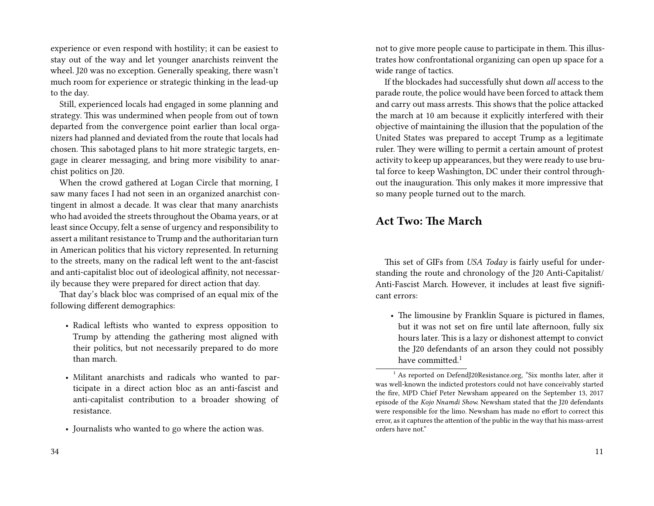experience or even respond with hostility; it can be easiest to stay out of the way and let younger anarchists reinvent the wheel. J20 was no exception. Generally speaking, there wasn't much room for experience or strategic thinking in the lead-up to the day.

Still, experienced locals had engaged in some planning and strategy. This was undermined when people from out of town departed from the convergence point earlier than local organizers had planned and deviated from the route that locals had chosen. This sabotaged plans to hit more strategic targets, engage in clearer messaging, and bring more visibility to anarchist politics on J20.

When the crowd gathered at Logan Circle that morning, I saw many faces I had not seen in an organized anarchist contingent in almost a decade. It was clear that many anarchists who had avoided the streets throughout the Obama years, or at least since Occupy, felt a sense of urgency and responsibility to assert a militant resistance to Trump and the authoritarian turn in American politics that his victory represented. In returning to the streets, many on the radical left went to the ant-fascist and anti-capitalist bloc out of ideological affinity, not necessarily because they were prepared for direct action that day.

That day's black bloc was comprised of an equal mix of the following different demographics:

- Radical leftists who wanted to express opposition to Trump by attending the gathering most aligned with their politics, but not necessarily prepared to do more than march.
- Militant anarchists and radicals who wanted to participate in a direct action bloc as an anti-fascist and anti-capitalist contribution to a broader showing of resistance.
- Journalists who wanted to go where the action was.

not to give more people cause to participate in them. This illustrates how confrontational organizing can open up space for a wide range of tactics.

If the blockades had successfully shut down *all* access to the parade route, the police would have been forced to attack them and carry out mass arrests. This shows that the police attacked the march at 10 am because it explicitly interfered with their objective of maintaining the illusion that the population of the United States was prepared to accept Trump as a legitimate ruler. They were willing to permit a certain amount of protest activity to keep up appearances, but they were ready to use brutal force to keep Washington, DC under their control throughout the inauguration. This only makes it more impressive that so many people turned out to the march.

#### **Act Two: The March**

This set of GIFs from *USA Today* is fairly useful for understanding the route and chronology of the J20 Anti-Capitalist/ Anti-Fascist March. However, it includes at least five significant errors:

• The limousine by Franklin Square is pictured in flames, but it was not set on fire until late afternoon, fully six hours later. This is a lazy or dishonest attempt to convict the J20 defendants of an arson they could not possibly have committed.<sup>1</sup>

 $^{\rm 1}$  As reported on DefendJ20Resistance.org, "Six months later, after it was well-known the indicted protestors could not have conceivably started the fire, MPD Chief Peter Newsham appeared on the September 13, 2017 episode of the *Kojo Nnamdi Show.* Newsham stated that the J20 defendants were responsible for the limo. Newsham has made no effort to correct this error, as it captures the attention of the public in the way that his mass-arrest orders have not."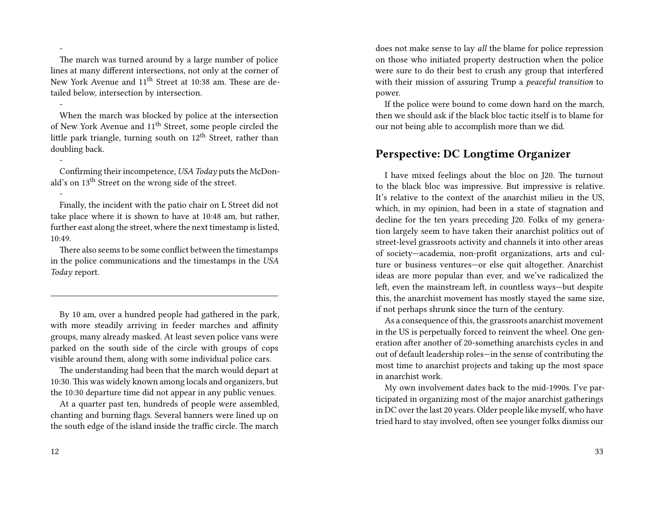The march was turned around by a large number of police lines at many different intersections, not only at the corner of New York Avenue and 11<sup>th</sup> Street at 10:38 am. These are detailed below, intersection by intersection.

When the march was blocked by police at the intersection of New York Avenue and 11th Street, some people circled the little park triangle, turning south on  $12<sup>th</sup>$  Street, rather than doubling back.

Confirming their incompetence, *USA Today* puts the McDonald's on 13<sup>th</sup> Street on the wrong side of the street.

Finally, the incident with the patio chair on L Street did not take place where it is shown to have at 10:48 am, but rather, further east along the street, where the next timestamp is listed, 10:49.

There also seems to be some conflict between the timestamps in the police communications and the timestamps in the *USA Today* report.

By 10 am, over a hundred people had gathered in the park, with more steadily arriving in feeder marches and affinity groups, many already masked. At least seven police vans were parked on the south side of the circle with groups of cops visible around them, along with some individual police cars.

The understanding had been that the march would depart at 10:30. This was widely known among locals and organizers, but the 10:30 departure time did not appear in any public venues.

At a quarter past ten, hundreds of people were assembled, chanting and burning flags. Several banners were lined up on the south edge of the island inside the traffic circle. The march

-

-

-

-

does not make sense to lay *all* the blame for police repression on those who initiated property destruction when the police were sure to do their best to crush any group that interfered with their mission of assuring Trump a *peaceful transition* to power.

If the police were bound to come down hard on the march, then we should ask if the black bloc tactic itself is to blame for our not being able to accomplish more than we did.

#### **Perspective: DC Longtime Organizer**

I have mixed feelings about the bloc on J20. The turnout to the black bloc was impressive. But impressive is relative. It's relative to the context of the anarchist milieu in the US, which, in my opinion, had been in a state of stagnation and decline for the ten years preceding J20. Folks of my generation largely seem to have taken their anarchist politics out of street-level grassroots activity and channels it into other areas of society—academia, non-profit organizations, arts and culture or business ventures—or else quit altogether. Anarchist ideas are more popular than ever, and we've radicalized the left, even the mainstream left, in countless ways—but despite this, the anarchist movement has mostly stayed the same size, if not perhaps shrunk since the turn of the century.

As a consequence of this, the grassroots anarchist movement in the US is perpetually forced to reinvent the wheel. One generation after another of 20-something anarchists cycles in and out of default leadership roles—in the sense of contributing the most time to anarchist projects and taking up the most space in anarchist work.

My own involvement dates back to the mid-1990s. I've participated in organizing most of the major anarchist gatherings in DC over the last 20 years. Older people like myself, who have tried hard to stay involved, often see younger folks dismiss our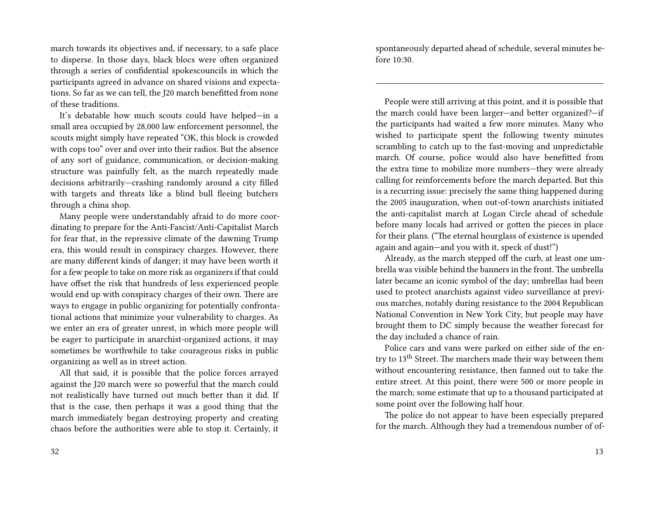march towards its objectives and, if necessary, to a safe place to disperse. In those days, black blocs were often organized through a series of confidential spokescouncils in which the participants agreed in advance on shared visions and expectations. So far as we can tell, the J20 march benefitted from none of these traditions.

It's debatable how much scouts could have helped—in a small area occupied by 28,000 law enforcement personnel, the scouts might simply have repeated "OK, this block is crowded with cops too" over and over into their radios. But the absence of any sort of guidance, communication, or decision-making structure was painfully felt, as the march repeatedly made decisions arbitrarily—crashing randomly around a city filled with targets and threats like a blind bull fleeing butchers through a china shop.

Many people were understandably afraid to do more coordinating to prepare for the Anti-Fascist/Anti-Capitalist March for fear that, in the repressive climate of the dawning Trump era, this would result in conspiracy charges. However, there are many different kinds of danger; it may have been worth it for a few people to take on more risk as organizers if that could have offset the risk that hundreds of less experienced people would end up with conspiracy charges of their own. There are ways to engage in public organizing for potentially confrontational actions that minimize your vulnerability to charges. As we enter an era of greater unrest, in which more people will be eager to participate in anarchist-organized actions, it may sometimes be worthwhile to take courageous risks in public organizing as well as in street action.

All that said, it is possible that the police forces arrayed against the J20 march were so powerful that the march could not realistically have turned out much better than it did. If that is the case, then perhaps it was a good thing that the march immediately began destroying property and creating chaos before the authorities were able to stop it. Certainly, it

spontaneously departed ahead of schedule, several minutes before 10:30.

People were still arriving at this point, and it is possible that the march could have been larger—and better organized?—if the participants had waited a few more minutes. Many who wished to participate spent the following twenty minutes scrambling to catch up to the fast-moving and unpredictable march. Of course, police would also have benefitted from the extra time to mobilize more numbers—they were already calling for reinforcements before the march departed. But this is a recurring issue: precisely the same thing happened during the 2005 inauguration, when out-of-town anarchists initiated the anti-capitalist march at Logan Circle ahead of schedule before many locals had arrived or gotten the pieces in place for their plans. ("The eternal hourglass of existence is upended again and again—and you with it, speck of dust!")

Already, as the march stepped off the curb, at least one umbrella was visible behind the banners in the front. The umbrella later became an iconic symbol of the day; umbrellas had been used to protect anarchists against video surveillance at previous marches, notably during resistance to the 2004 Republican National Convention in New York City, but people may have brought them to DC simply because the weather forecast for the day included a chance of rain.

Police cars and vans were parked on either side of the entry to 13th Street. The marchers made their way between them without encountering resistance, then fanned out to take the entire street. At this point, there were 500 or more people in the march; some estimate that up to a thousand participated at some point over the following half hour.

The police do not appear to have been especially prepared for the march. Although they had a tremendous number of of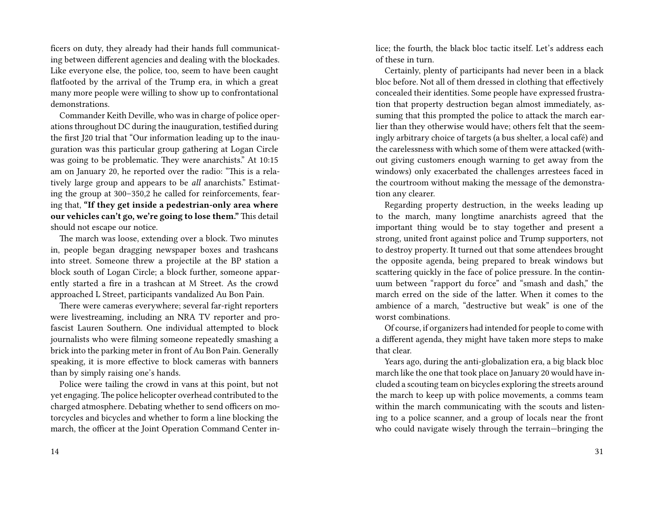ficers on duty, they already had their hands full communicating between different agencies and dealing with the blockades. Like everyone else, the police, too, seem to have been caught flatfooted by the arrival of the Trump era, in which a great many more people were willing to show up to confrontational demonstrations.

Commander Keith Deville, who was in charge of police operations throughout DC during the inauguration, testified during the first J20 trial that "Our information leading up to the inauguration was this particular group gathering at Logan Circle was going to be problematic. They were anarchists." At 10:15 am on January 20, he reported over the radio: "This is a relatively large group and appears to be *all* anarchists." Estimating the group at 300–350,2 he called for reinforcements, fearing that, **"If they get inside a pedestrian-only area where our vehicles can't go, we're going to lose them."** This detail should not escape our notice.

The march was loose, extending over a block. Two minutes in, people began dragging newspaper boxes and trashcans into street. Someone threw a projectile at the BP station a block south of Logan Circle; a block further, someone apparently started a fire in a trashcan at M Street. As the crowd approached L Street, participants vandalized Au Bon Pain.

There were cameras everywhere; several far-right reporters were livestreaming, including an NRA TV reporter and profascist Lauren Southern. One individual attempted to block journalists who were filming someone repeatedly smashing a brick into the parking meter in front of Au Bon Pain. Generally speaking, it is more effective to block cameras with banners than by simply raising one's hands.

Police were tailing the crowd in vans at this point, but not yet engaging.The police helicopter overhead contributed to the charged atmosphere. Debating whether to send officers on motorcycles and bicycles and whether to form a line blocking the march, the officer at the Joint Operation Command Center inlice; the fourth, the black bloc tactic itself. Let's address each of these in turn.

Certainly, plenty of participants had never been in a black bloc before. Not all of them dressed in clothing that effectively concealed their identities. Some people have expressed frustration that property destruction began almost immediately, assuming that this prompted the police to attack the march earlier than they otherwise would have; others felt that the seemingly arbitrary choice of targets (a bus shelter, a local café) and the carelessness with which some of them were attacked (without giving customers enough warning to get away from the windows) only exacerbated the challenges arrestees faced in the courtroom without making the message of the demonstration any clearer.

Regarding property destruction, in the weeks leading up to the march, many longtime anarchists agreed that the important thing would be to stay together and present a strong, united front against police and Trump supporters, not to destroy property. It turned out that some attendees brought the opposite agenda, being prepared to break windows but scattering quickly in the face of police pressure. In the continuum between "rapport du force" and "smash and dash," the march erred on the side of the latter. When it comes to the ambience of a march, "destructive but weak" is one of the worst combinations.

Of course, if organizers had intended for people to come with a different agenda, they might have taken more steps to make that clear.

Years ago, during the anti-globalization era, a big black bloc march like the one that took place on January 20 would have included a scouting team on bicycles exploring the streets around the march to keep up with police movements, a comms team within the march communicating with the scouts and listening to a police scanner, and a group of locals near the front who could navigate wisely through the terrain—bringing the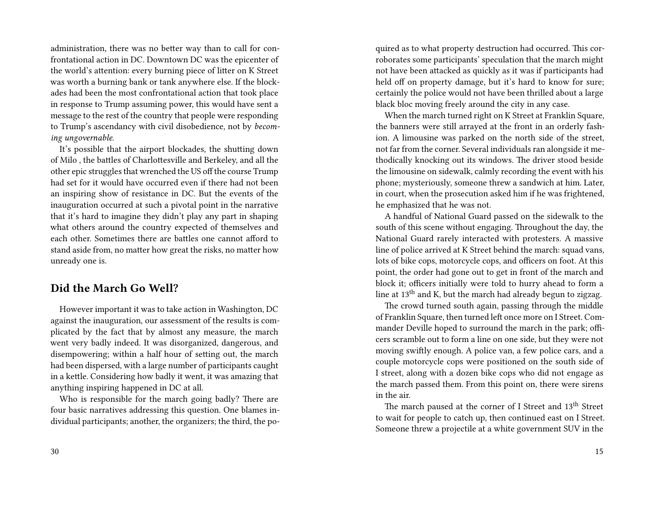administration, there was no better way than to call for confrontational action in DC. Downtown DC was the epicenter of the world's attention: every burning piece of litter on K Street was worth a burning bank or tank anywhere else. If the blockades had been the most confrontational action that took place in response to Trump assuming power, this would have sent a message to the rest of the country that people were responding to Trump's ascendancy with civil disobedience, not by *becoming ungovernable.*

It's possible that the airport blockades, the shutting down of Milo , the battles of Charlottesville and Berkeley, and all the other epic struggles that wrenched the US off the course Trump had set for it would have occurred even if there had not been an inspiring show of resistance in DC. But the events of the inauguration occurred at such a pivotal point in the narrative that it's hard to imagine they didn't play any part in shaping what others around the country expected of themselves and each other. Sometimes there are battles one cannot afford to stand aside from, no matter how great the risks, no matter how unready one is.

#### **Did the March Go Well?**

However important it was to take action in Washington, DC against the inauguration, our assessment of the results is complicated by the fact that by almost any measure, the march went very badly indeed. It was disorganized, dangerous, and disempowering; within a half hour of setting out, the march had been dispersed, with a large number of participants caught in a kettle. Considering how badly it went, it was amazing that anything inspiring happened in DC at all.

Who is responsible for the march going badly? There are four basic narratives addressing this question. One blames individual participants; another, the organizers; the third, the poquired as to what property destruction had occurred. This corroborates some participants' speculation that the march might not have been attacked as quickly as it was if participants had held off on property damage, but it's hard to know for sure; certainly the police would not have been thrilled about a large black bloc moving freely around the city in any case.

When the march turned right on K Street at Franklin Square, the banners were still arrayed at the front in an orderly fashion. A limousine was parked on the north side of the street, not far from the corner. Several individuals ran alongside it methodically knocking out its windows. The driver stood beside the limousine on sidewalk, calmly recording the event with his phone; mysteriously, someone threw a sandwich at him. Later, in court, when the prosecution asked him if he was frightened, he emphasized that he was not.

A handful of National Guard passed on the sidewalk to the south of this scene without engaging. Throughout the day, the National Guard rarely interacted with protesters. A massive line of police arrived at K Street behind the march: squad vans, lots of bike cops, motorcycle cops, and officers on foot. At this point, the order had gone out to get in front of the march and block it; officers initially were told to hurry ahead to form a line at 13<sup>th</sup> and K, but the march had already begun to zigzag.

The crowd turned south again, passing through the middle of Franklin Square, then turned left once more on I Street. Commander Deville hoped to surround the march in the park; officers scramble out to form a line on one side, but they were not moving swiftly enough. A police van, a few police cars, and a couple motorcycle cops were positioned on the south side of I street, along with a dozen bike cops who did not engage as the march passed them. From this point on, there were sirens in the air.

The march paused at the corner of I Street and 13<sup>th</sup> Street to wait for people to catch up, then continued east on I Street. Someone threw a projectile at a white government SUV in the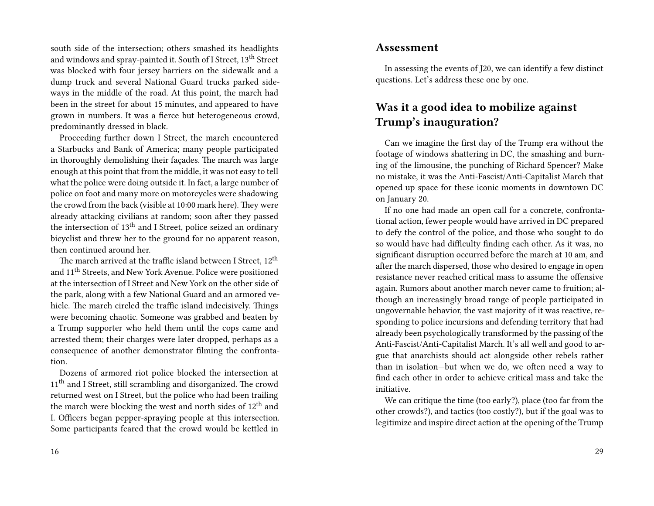south side of the intersection; others smashed its headlights and windows and spray-painted it. South of I Street, 13th Street was blocked with four jersey barriers on the sidewalk and a dump truck and several National Guard trucks parked sideways in the middle of the road. At this point, the march had been in the street for about 15 minutes, and appeared to have grown in numbers. It was a fierce but heterogeneous crowd, predominantly dressed in black.

Proceeding further down I Street, the march encountered a Starbucks and Bank of America; many people participated in thoroughly demolishing their façades. The march was large enough at this point that from the middle, it was not easy to tell what the police were doing outside it. In fact, a large number of police on foot and many more on motorcycles were shadowing the crowd from the back (visible at 10:00 mark here). They were already attacking civilians at random; soon after they passed the intersection of 13th and I Street, police seized an ordinary bicyclist and threw her to the ground for no apparent reason, then continued around her.

The march arrived at the traffic island between I Street,  $12<sup>th</sup>$ and 11th Streets, and New York Avenue. Police were positioned at the intersection of I Street and New York on the other side of the park, along with a few National Guard and an armored vehicle. The march circled the traffic island indecisively. Things were becoming chaotic. Someone was grabbed and beaten by a Trump supporter who held them until the cops came and arrested them; their charges were later dropped, perhaps as a consequence of another demonstrator filming the confrontation.

Dozens of armored riot police blocked the intersection at 11<sup>th</sup> and I Street, still scrambling and disorganized. The crowd returned west on I Street, but the police who had been trailing the march were blocking the west and north sides of 12<sup>th</sup> and I. Officers began pepper-spraying people at this intersection. Some participants feared that the crowd would be kettled in

#### **Assessment**

In assessing the events of J20, we can identify a few distinct questions. Let's address these one by one.

### **Was it a good idea to mobilize against Trump's inauguration?**

Can we imagine the first day of the Trump era without the footage of windows shattering in DC, the smashing and burning of the limousine, the punching of Richard Spencer? Make no mistake, it was the Anti-Fascist/Anti-Capitalist March that opened up space for these iconic moments in downtown DC on January 20.

If no one had made an open call for a concrete, confrontational action, fewer people would have arrived in DC prepared to defy the control of the police, and those who sought to do so would have had difficulty finding each other. As it was, no significant disruption occurred before the march at 10 am, and after the march dispersed, those who desired to engage in open resistance never reached critical mass to assume the offensive again. Rumors about another march never came to fruition; although an increasingly broad range of people participated in ungovernable behavior, the vast majority of it was reactive, responding to police incursions and defending territory that had already been psychologically transformed by the passing of the Anti-Fascist/Anti-Capitalist March. It's all well and good to argue that anarchists should act alongside other rebels rather than in isolation—but when we do, we often need a way to find each other in order to achieve critical mass and take the initiative.

We can critique the time (too early?), place (too far from the other crowds?), and tactics (too costly?), but if the goal was to legitimize and inspire direct action at the opening of the Trump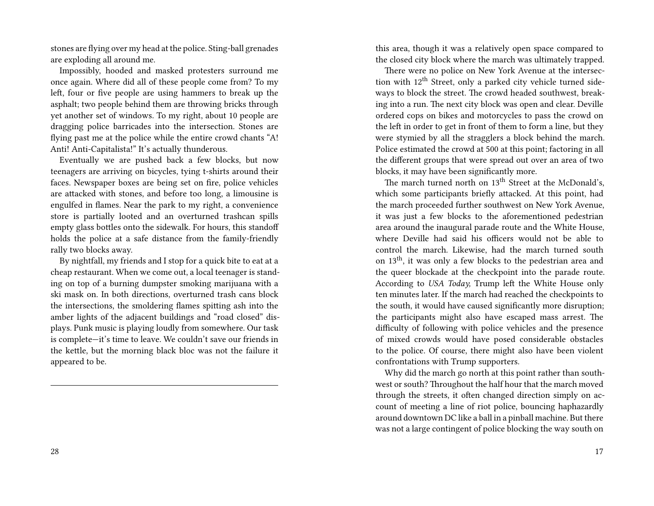stones are flying over my head at the police. Sting-ball grenades are exploding all around me.

Impossibly, hooded and masked protesters surround me once again. Where did all of these people come from? To my left, four or five people are using hammers to break up the asphalt; two people behind them are throwing bricks through yet another set of windows. To my right, about 10 people are dragging police barricades into the intersection. Stones are flying past me at the police while the entire crowd chants "A! Anti! Anti-Capitalista!" It's actually thunderous.

Eventually we are pushed back a few blocks, but now teenagers are arriving on bicycles, tying t-shirts around their faces. Newspaper boxes are being set on fire, police vehicles are attacked with stones, and before too long, a limousine is engulfed in flames. Near the park to my right, a convenience store is partially looted and an overturned trashcan spills empty glass bottles onto the sidewalk. For hours, this standoff holds the police at a safe distance from the family-friendly rally two blocks away.

By nightfall, my friends and I stop for a quick bite to eat at a cheap restaurant. When we come out, a local teenager is standing on top of a burning dumpster smoking marijuana with a ski mask on. In both directions, overturned trash cans block the intersections, the smoldering flames spitting ash into the amber lights of the adjacent buildings and "road closed" displays. Punk music is playing loudly from somewhere. Our task is complete—it's time to leave. We couldn't save our friends in the kettle, but the morning black bloc was not the failure it appeared to be.

this area, though it was a relatively open space compared to the closed city block where the march was ultimately trapped.

There were no police on New York Avenue at the intersection with  $12<sup>th</sup>$  Street, only a parked city vehicle turned sideways to block the street. The crowd headed southwest, breaking into a run. The next city block was open and clear. Deville ordered cops on bikes and motorcycles to pass the crowd on the left in order to get in front of them to form a line, but they were stymied by all the stragglers a block behind the march. Police estimated the crowd at 500 at this point; factoring in all the different groups that were spread out over an area of two blocks, it may have been significantly more.

The march turned north on  $13<sup>th</sup>$  Street at the McDonald's, which some participants briefly attacked. At this point, had the march proceeded further southwest on New York Avenue, it was just a few blocks to the aforementioned pedestrian area around the inaugural parade route and the White House, where Deville had said his officers would not be able to control the march. Likewise, had the march turned south on 13th, it was only a few blocks to the pedestrian area and the queer blockade at the checkpoint into the parade route. According to *USA Today,* Trump left the White House only ten minutes later. If the march had reached the checkpoints to the south, it would have caused significantly more disruption; the participants might also have escaped mass arrest. The difficulty of following with police vehicles and the presence of mixed crowds would have posed considerable obstacles to the police. Of course, there might also have been violent confrontations with Trump supporters.

Why did the march go north at this point rather than southwest or south? Throughout the half hour that the march moved through the streets, it often changed direction simply on account of meeting a line of riot police, bouncing haphazardly around downtown DC like a ball in a pinball machine. But there was not a large contingent of police blocking the way south on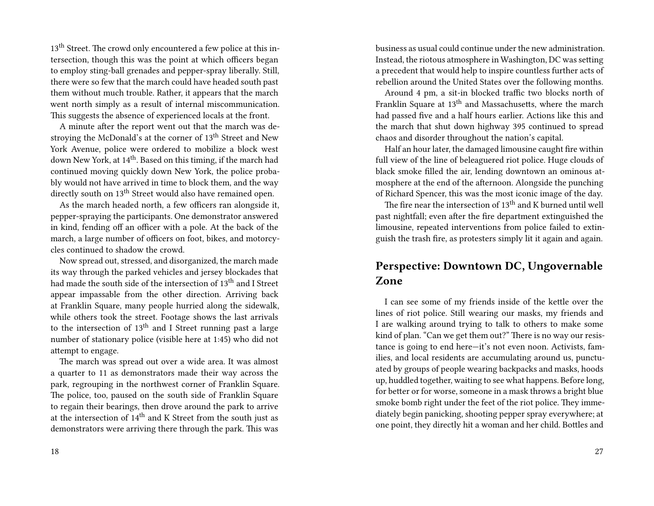13<sup>th</sup> Street. The crowd only encountered a few police at this intersection, though this was the point at which officers began to employ sting-ball grenades and pepper-spray liberally. Still, there were so few that the march could have headed south past them without much trouble. Rather, it appears that the march went north simply as a result of internal miscommunication. This suggests the absence of experienced locals at the front.

A minute after the report went out that the march was destroying the McDonald's at the corner of 13<sup>th</sup> Street and New York Avenue, police were ordered to mobilize a block west down New York, at 14<sup>th</sup>. Based on this timing, if the march had continued moving quickly down New York, the police probably would not have arrived in time to block them, and the way directly south on 13<sup>th</sup> Street would also have remained open.

As the march headed north, a few officers ran alongside it, pepper-spraying the participants. One demonstrator answered in kind, fending off an officer with a pole. At the back of the march, a large number of officers on foot, bikes, and motorcycles continued to shadow the crowd.

Now spread out, stressed, and disorganized, the march made its way through the parked vehicles and jersey blockades that had made the south side of the intersection of 13<sup>th</sup> and I Street appear impassable from the other direction. Arriving back at Franklin Square, many people hurried along the sidewalk, while others took the street. Footage shows the last arrivals to the intersection of  $13<sup>th</sup>$  and I Street running past a large number of stationary police (visible here at 1:45) who did not attempt to engage.

The march was spread out over a wide area. It was almost a quarter to 11 as demonstrators made their way across the park, regrouping in the northwest corner of Franklin Square. The police, too, paused on the south side of Franklin Square to regain their bearings, then drove around the park to arrive at the intersection of  $14<sup>th</sup>$  and K Street from the south just as demonstrators were arriving there through the park. This was

business as usual could continue under the new administration. Instead, the riotous atmosphere in Washington, DC was setting a precedent that would help to inspire countless further acts of rebellion around the United States over the following months.

Around 4 pm, a sit-in blocked traffic two blocks north of Franklin Square at 13<sup>th</sup> and Massachusetts, where the march had passed five and a half hours earlier. Actions like this and the march that shut down highway 395 continued to spread chaos and disorder throughout the nation's capital.

Half an hour later, the damaged limousine caught fire within full view of the line of beleaguered riot police. Huge clouds of black smoke filled the air, lending downtown an ominous atmosphere at the end of the afternoon. Alongside the punching of Richard Spencer, this was the most iconic image of the day.

The fire near the intersection of 13<sup>th</sup> and K burned until well past nightfall; even after the fire department extinguished the limousine, repeated interventions from police failed to extinguish the trash fire, as protesters simply lit it again and again.

#### **Perspective: Downtown DC, Ungovernable Zone**

I can see some of my friends inside of the kettle over the lines of riot police. Still wearing our masks, my friends and I are walking around trying to talk to others to make some kind of plan. "Can we get them out?" There is no way our resistance is going to end here—it's not even noon. Activists, families, and local residents are accumulating around us, punctuated by groups of people wearing backpacks and masks, hoods up, huddled together, waiting to see what happens. Before long, for better or for worse, someone in a mask throws a bright blue smoke bomb right under the feet of the riot police. They immediately begin panicking, shooting pepper spray everywhere; at one point, they directly hit a woman and her child. Bottles and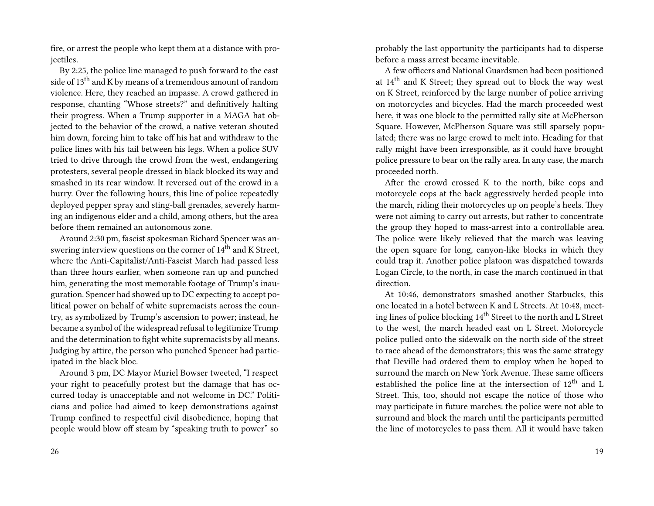fire, or arrest the people who kept them at a distance with projectiles.

By 2:25, the police line managed to push forward to the east side of 13<sup>th</sup> and K by means of a tremendous amount of random violence. Here, they reached an impasse. A crowd gathered in response, chanting "Whose streets?" and definitively halting their progress. When a Trump supporter in a MAGA hat objected to the behavior of the crowd, a native veteran shouted him down, forcing him to take off his hat and withdraw to the police lines with his tail between his legs. When a police SUV tried to drive through the crowd from the west, endangering protesters, several people dressed in black blocked its way and smashed in its rear window. It reversed out of the crowd in a hurry. Over the following hours, this line of police repeatedly deployed pepper spray and sting-ball grenades, severely harming an indigenous elder and a child, among others, but the area before them remained an autonomous zone.

Around 2:30 pm, fascist spokesman Richard Spencer was answering interview questions on the corner of  $14<sup>th</sup>$  and K Street, where the Anti-Capitalist/Anti-Fascist March had passed less than three hours earlier, when someone ran up and punched him, generating the most memorable footage of Trump's inauguration. Spencer had showed up to DC expecting to accept political power on behalf of white supremacists across the country, as symbolized by Trump's ascension to power; instead, he became a symbol of the widespread refusal to legitimize Trump and the determination to fight white supremacists by all means. Judging by attire, the person who punched Spencer had participated in the black bloc.

Around 3 pm, DC Mayor Muriel Bowser tweeted, "I respect your right to peacefully protest but the damage that has occurred today is unacceptable and not welcome in DC." Politicians and police had aimed to keep demonstrations against Trump confined to respectful civil disobedience, hoping that people would blow off steam by "speaking truth to power" so

probably the last opportunity the participants had to disperse before a mass arrest became inevitable.

A few officers and National Guardsmen had been positioned at 14th and K Street; they spread out to block the way west on K Street, reinforced by the large number of police arriving on motorcycles and bicycles. Had the march proceeded west here, it was one block to the permitted rally site at McPherson Square. However, McPherson Square was still sparsely populated; there was no large crowd to melt into. Heading for that rally might have been irresponsible, as it could have brought police pressure to bear on the rally area. In any case, the march proceeded north.

After the crowd crossed K to the north, bike cops and motorcycle cops at the back aggressively herded people into the march, riding their motorcycles up on people's heels. They were not aiming to carry out arrests, but rather to concentrate the group they hoped to mass-arrest into a controllable area. The police were likely relieved that the march was leaving the open square for long, canyon-like blocks in which they could trap it. Another police platoon was dispatched towards Logan Circle, to the north, in case the march continued in that direction.

At 10:46, demonstrators smashed another Starbucks, this one located in a hotel between K and L Streets. At 10:48, meeting lines of police blocking 14<sup>th</sup> Street to the north and L Street to the west, the march headed east on L Street. Motorcycle police pulled onto the sidewalk on the north side of the street to race ahead of the demonstrators; this was the same strategy that Deville had ordered them to employ when he hoped to surround the march on New York Avenue. These same officers established the police line at the intersection of 12th and L Street. This, too, should not escape the notice of those who may participate in future marches: the police were not able to surround and block the march until the participants permitted the line of motorcycles to pass them. All it would have taken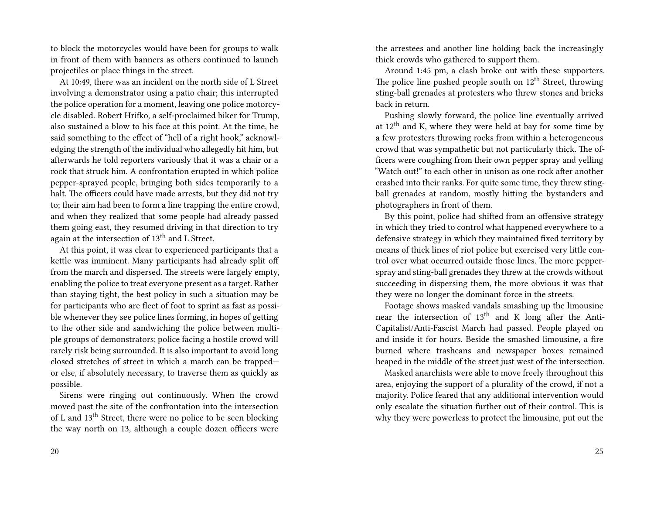to block the motorcycles would have been for groups to walk in front of them with banners as others continued to launch projectiles or place things in the street.

At 10:49, there was an incident on the north side of L Street involving a demonstrator using a patio chair; this interrupted the police operation for a moment, leaving one police motorcycle disabled. Robert Hrifko, a self-proclaimed biker for Trump, also sustained a blow to his face at this point. At the time, he said something to the effect of "hell of a right hook," acknowledging the strength of the individual who allegedly hit him, but afterwards he told reporters variously that it was a chair or a rock that struck him. A confrontation erupted in which police pepper-sprayed people, bringing both sides temporarily to a halt. The officers could have made arrests, but they did not try to; their aim had been to form a line trapping the entire crowd, and when they realized that some people had already passed them going east, they resumed driving in that direction to try again at the intersection of 13<sup>th</sup> and L Street.

At this point, it was clear to experienced participants that a kettle was imminent. Many participants had already split off from the march and dispersed. The streets were largely empty, enabling the police to treat everyone present as a target. Rather than staying tight, the best policy in such a situation may be for participants who are fleet of foot to sprint as fast as possible whenever they see police lines forming, in hopes of getting to the other side and sandwiching the police between multiple groups of demonstrators; police facing a hostile crowd will rarely risk being surrounded. It is also important to avoid long closed stretches of street in which a march can be trapped or else, if absolutely necessary, to traverse them as quickly as possible.

Sirens were ringing out continuously. When the crowd moved past the site of the confrontation into the intersection of L and 13th Street, there were no police to be seen blocking the way north on 13, although a couple dozen officers were

the arrestees and another line holding back the increasingly thick crowds who gathered to support them.

Around 1:45 pm, a clash broke out with these supporters. The police line pushed people south on  $12<sup>th</sup>$  Street, throwing sting-ball grenades at protesters who threw stones and bricks back in return.

Pushing slowly forward, the police line eventually arrived at  $12<sup>th</sup>$  and K, where they were held at bay for some time by a few protesters throwing rocks from within a heterogeneous crowd that was sympathetic but not particularly thick. The officers were coughing from their own pepper spray and yelling "Watch out!" to each other in unison as one rock after another crashed into their ranks. For quite some time, they threw stingball grenades at random, mostly hitting the bystanders and photographers in front of them.

By this point, police had shifted from an offensive strategy in which they tried to control what happened everywhere to a defensive strategy in which they maintained fixed territory by means of thick lines of riot police but exercised very little control over what occurred outside those lines. The more pepperspray and sting-ball grenades they threw at the crowds without succeeding in dispersing them, the more obvious it was that they were no longer the dominant force in the streets.

Footage shows masked vandals smashing up the limousine near the intersection of  $13<sup>th</sup>$  and K long after the Anti-Capitalist/Anti-Fascist March had passed. People played on and inside it for hours. Beside the smashed limousine, a fire burned where trashcans and newspaper boxes remained heaped in the middle of the street just west of the intersection.

Masked anarchists were able to move freely throughout this area, enjoying the support of a plurality of the crowd, if not a majority. Police feared that any additional intervention would only escalate the situation further out of their control. This is why they were powerless to protect the limousine, put out the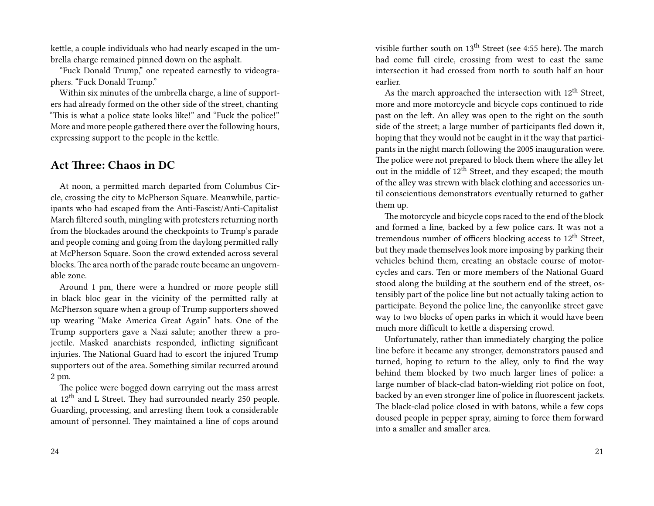kettle, a couple individuals who had nearly escaped in the umbrella charge remained pinned down on the asphalt.

"Fuck Donald Trump," one repeated earnestly to videographers. "Fuck Donald Trump."

Within six minutes of the umbrella charge, a line of supporters had already formed on the other side of the street, chanting "This is what a police state looks like!" and "Fuck the police!" More and more people gathered there over the following hours, expressing support to the people in the kettle.

#### **Act Three: Chaos in DC**

At noon, a permitted march departed from Columbus Circle, crossing the city to McPherson Square. Meanwhile, participants who had escaped from the Anti-Fascist/Anti-Capitalist March filtered south, mingling with protesters returning north from the blockades around the checkpoints to Trump's parade and people coming and going from the daylong permitted rally at McPherson Square. Soon the crowd extended across several blocks. The area north of the parade route became an ungovernable zone.

Around 1 pm, there were a hundred or more people still in black bloc gear in the vicinity of the permitted rally at McPherson square when a group of Trump supporters showed up wearing "Make America Great Again" hats. One of the Trump supporters gave a Nazi salute; another threw a projectile. Masked anarchists responded, inflicting significant injuries. The National Guard had to escort the injured Trump supporters out of the area. Something similar recurred around 2 pm.

The police were bogged down carrying out the mass arrest at 12th and L Street. They had surrounded nearly 250 people. Guarding, processing, and arresting them took a considerable amount of personnel. They maintained a line of cops around

visible further south on 13<sup>th</sup> Street (see 4:55 here). The march had come full circle, crossing from west to east the same intersection it had crossed from north to south half an hour earlier.

As the march approached the intersection with  $12<sup>th</sup>$  Street, more and more motorcycle and bicycle cops continued to ride past on the left. An alley was open to the right on the south side of the street; a large number of participants fled down it, hoping that they would not be caught in it the way that participants in the night march following the 2005 inauguration were. The police were not prepared to block them where the alley let out in the middle of  $12<sup>th</sup>$  Street, and they escaped; the mouth of the alley was strewn with black clothing and accessories until conscientious demonstrators eventually returned to gather them up.

The motorcycle and bicycle cops raced to the end of the block and formed a line, backed by a few police cars. It was not a tremendous number of officers blocking access to  $12<sup>th</sup>$  Street, but they made themselves look more imposing by parking their vehicles behind them, creating an obstacle course of motorcycles and cars. Ten or more members of the National Guard stood along the building at the southern end of the street, ostensibly part of the police line but not actually taking action to participate. Beyond the police line, the canyonlike street gave way to two blocks of open parks in which it would have been much more difficult to kettle a dispersing crowd.

Unfortunately, rather than immediately charging the police line before it became any stronger, demonstrators paused and turned, hoping to return to the alley, only to find the way behind them blocked by two much larger lines of police: a large number of black-clad baton-wielding riot police on foot, backed by an even stronger line of police in fluorescent jackets. The black-clad police closed in with batons, while a few cops doused people in pepper spray, aiming to force them forward into a smaller and smaller area.